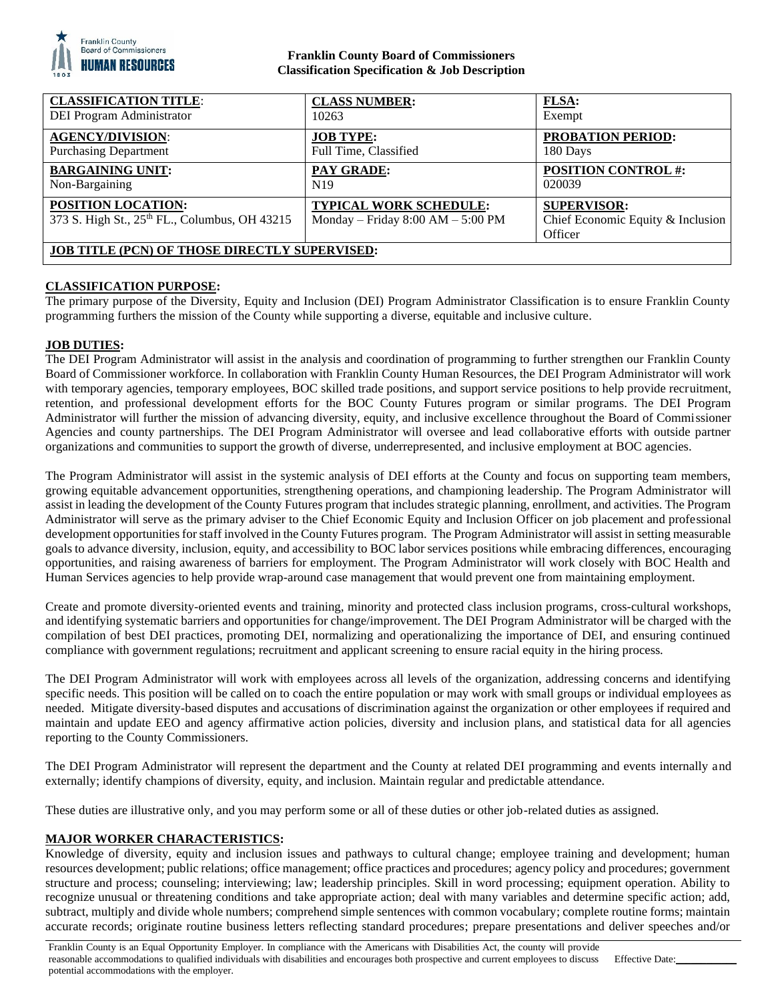

## **Franklin County Board of Commissioners Classification Specification & Job Description**

| <b>CLASSIFICATION TITLE:</b>                                        | <b>CLASS NUMBER:</b>                                                 | FLSA:                                                              |
|---------------------------------------------------------------------|----------------------------------------------------------------------|--------------------------------------------------------------------|
| DEI Program Administrator                                           | 10263                                                                | Exempt                                                             |
| <b>AGENCY/DIVISION:</b>                                             | <b>JOB TYPE:</b>                                                     | <b>PROBATION PERIOD:</b>                                           |
| <b>Purchasing Department</b>                                        | Full Time, Classified                                                | 180 Days                                                           |
| <b>BARGAINING UNIT:</b>                                             | PAY GRADE:                                                           | <b>POSITION CONTROL #:</b>                                         |
| Non-Bargaining                                                      | N <sub>19</sub>                                                      | 020039                                                             |
| POSITION LOCATION:<br>373 S. High St., 25th FL., Columbus, OH 43215 | <b>TYPICAL WORK SCHEDULE:</b><br>Monday – Friday $8:00 AM - 5:00 PM$ | <b>SUPERVISOR:</b><br>Chief Economic Equity & Inclusion<br>Officer |
| <b>JOB TITLE (PCN) OF THOSE DIRECTLY SUPERVISED:</b>                |                                                                      |                                                                    |

# **CLASSIFICATION PURPOSE:**

The primary purpose of the Diversity, Equity and Inclusion (DEI) Program Administrator Classification is to ensure Franklin County programming furthers the mission of the County while supporting a diverse, equitable and inclusive culture.

# **JOB DUTIES:**

The DEI Program Administrator will assist in the analysis and coordination of programming to further strengthen our Franklin County Board of Commissioner workforce. In collaboration with Franklin County Human Resources, the DEI Program Administrator will work with temporary agencies, temporary employees, BOC skilled trade positions, and support service positions to help provide recruitment, retention, and professional development efforts for the BOC County Futures program or similar programs. The DEI Program Administrator will further the mission of advancing diversity, equity, and inclusive excellence throughout the Board of Commissioner Agencies and county partnerships. The DEI Program Administrator will oversee and lead collaborative efforts with outside partner organizations and communities to support the growth of diverse, underrepresented, and inclusive employment at BOC agencies.

The Program Administrator will assist in the systemic analysis of DEI efforts at the County and focus on supporting team members, growing equitable advancement opportunities, strengthening operations, and championing leadership. The Program Administrator will assist in leading the development of the County Futures program that includes strategic planning, enrollment, and activities. The Program Administrator will serve as the primary adviser to the Chief Economic Equity and Inclusion Officer on job placement and professional development opportunities for staff involved in the County Futures program. The Program Administrator will assist in setting measurable goals to advance diversity, inclusion, equity, and accessibility to BOC labor services positions while embracing differences, encouraging opportunities, and raising awareness of barriers for employment. The Program Administrator will work closely with BOC Health and Human Services agencies to help provide wrap-around case management that would prevent one from maintaining employment.

Create and promote diversity-oriented events and training, minority and protected class inclusion programs, cross-cultural workshops, and identifying systematic barriers and opportunities for change/improvement. The DEI Program Administrator will be charged with the compilation of best DEI practices, promoting DEI, normalizing and operationalizing the importance of DEI, and ensuring continued compliance with government regulations; recruitment and applicant screening to ensure racial equity in the hiring process.

The DEI Program Administrator will work with employees across all levels of the organization, addressing concerns and identifying specific needs. This position will be called on to coach the entire population or may work with small groups or individual employees as needed. Mitigate diversity-based disputes and accusations of discrimination against the organization or other employees if required and maintain and update EEO and agency affirmative action policies, diversity and inclusion plans, and statistical data for all agencies reporting to the County Commissioners.

The DEI Program Administrator will represent the department and the County at related DEI programming and events internally and externally; identify champions of diversity, equity, and inclusion. Maintain regular and predictable attendance.

These duties are illustrative only, and you may perform some or all of these duties or other job-related duties as assigned.

## **MAJOR WORKER CHARACTERISTICS:**

Knowledge of diversity, equity and inclusion issues and pathways to cultural change; employee training and development; human resources development; public relations; office management; office practices and procedures; agency policy and procedures; government structure and process; counseling; interviewing; law; leadership principles. Skill in word processing; equipment operation. Ability to recognize unusual or threatening conditions and take appropriate action; deal with many variables and determine specific action; add, subtract, multiply and divide whole numbers; comprehend simple sentences with common vocabulary; complete routine forms; maintain accurate records; originate routine business letters reflecting standard procedures; prepare presentations and deliver speeches and/or